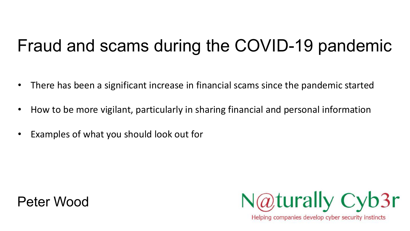# Fraud and scams during the COVID-19 pandemic

- There has been a significant increase in financial scams since the pandemic started
- How to be more vigilant, particularly in sharing financial and personal information
- Examples of what you should look out for





Helping companies develop cyber security instincts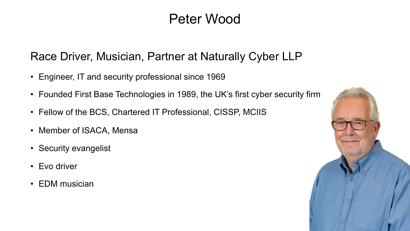### Peter Wood

#### Race Driver, Musician, Partner at Naturally Cyber LLP

- Engineer, IT and security professional since 1969
- Founded First Base Technologies in 1989, the UK's first cyber security firm
- Fellow of the BCS, Chartered IT Professional, CISSP, MCIIS
- Member of ISACA, Mensa
- Security evangelist
- Evo driver
- EDM musician

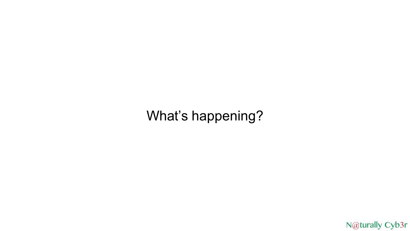N@turally Cyb3r

What's happening?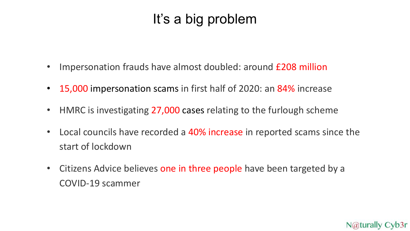## It's a big problem

- Impersonation frauds have almost doubled: around £208 million
- 15,000 impersonation scams in first half of 2020: an 84% increase
- HMRC is investigating 27,000 cases relating to the furlough scheme
- Local councils have recorded a 40% increase in reported scams since the start of lockdown
- Citizens Advice believes one in three people have been targeted by a COVID-19 scammer

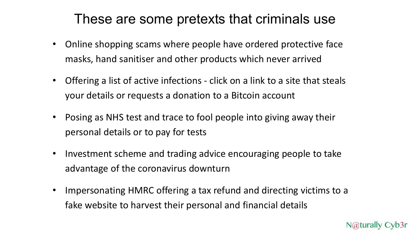#### These are some pretexts that criminals use

- Online shopping scams where people have ordered protective face masks, hand sanitiser and other products which never arrived
- Offering a list of active infections click on a link to a site that steals your details or requests a donation to a Bitcoin account
- Posing as NHS test and trace to fool people into giving away their personal details or to pay for tests
- Investment scheme and trading advice encouraging people to take advantage of the coronavirus downturn
- Impersonating HMRC offering a tax refund and directing victims to a fake website to harvest their personal and financial details

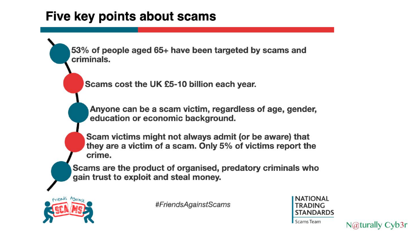#### Five key points about scams

53% of people aged 65+ have been targeted by scams and criminals.

Scams cost the UK £5-10 billion each year.

Anyone can be a scam victim, regardless of age, gender, education or economic background.

Scam victims might not always admit (or be aware) that they are a victim of a scam. Only 5% of victims report the crime.

Scams are the product of organised, predatory criminals who gain trust to exploit and steal money.



#FriendsAgainstScams

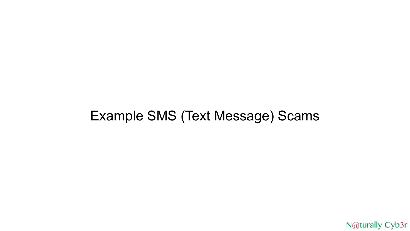#### Example SMS (Text Message) Scams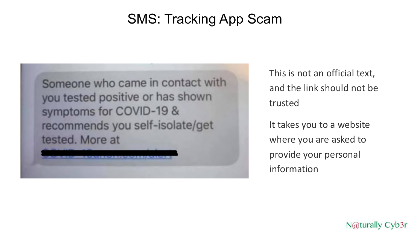### SMS: Tracking App Scam



This is not an official text, and the link should not be trusted

It takes you to a website where you are asked to provide your personal information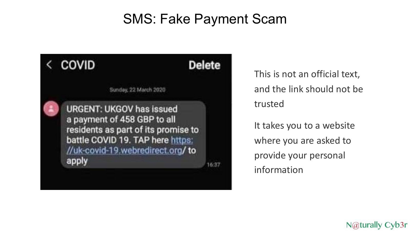### SMS: Fake Payment Scam



This is not an official text, and the link should not be trusted

It takes you to a website where you are asked to provide your personal information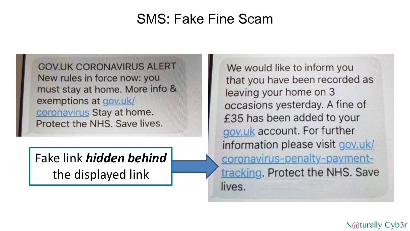### SMS: Fake Fine Scam

**GOV.UK CORONAVIRUS ALERT** New rules in force now: you must stay at home. More info & exemptions at gov.uk/ coronavirus Stay at home. Protect the NHS. Save lives.

Fake link *hidden behind* the displayed link

We would like to inform you that you have been recorded as leaving your home on 3 occasions yesterday. A fine of £35 has been added to your gov.uk account. For further information please visit gov.uk/ coronavirus-penalty-paymenttracking. Protect the NHS. Save lives.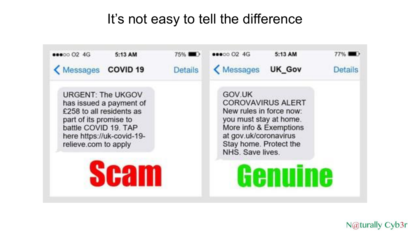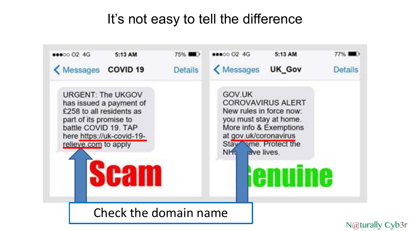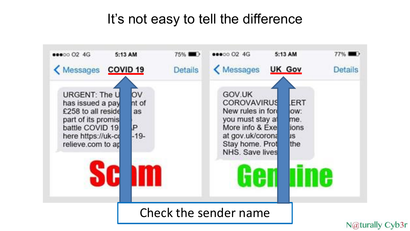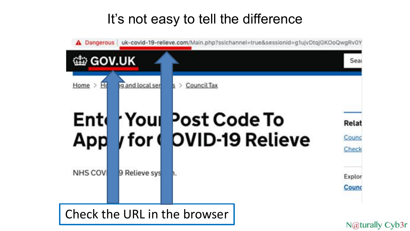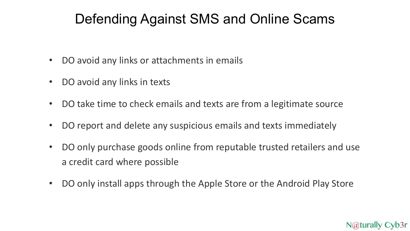### Defending Against SMS and Online Scams

- DO avoid any links or attachments in emails
- DO avoid any links in texts
- DO take time to check emails and texts are from a legitimate source
- DO report and delete any suspicious emails and texts immediately
- DO only purchase goods online from reputable trusted retailers and use a credit card where possible
- DO only install apps through the Apple Store or the Android Play Store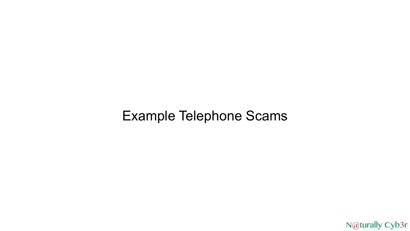#### Example Telephone Scams

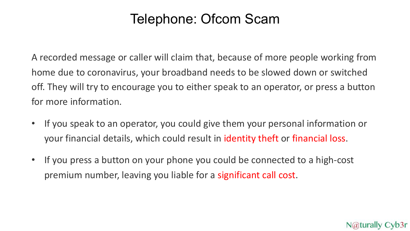### Telephone: Ofcom Scam

A recorded message or caller will claim that, because of more people working from home due to coronavirus, your broadband needs to be slowed down or switched off. They will try to encourage you to either speak to an operator, or press a button for more information.

- If you speak to an operator, you could give them your personal information or your financial details, which could result in identity theft or financial loss.
- If you press a button on your phone you could be connected to a high-cost premium number, leaving you liable for a significant call cost.

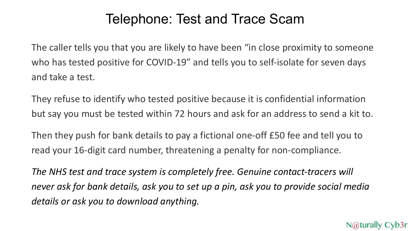#### Telephone: Test and Trace Scam

The caller tells you that you are likely to have been "in close proximity to someone who has tested positive for COVID-19" and tells you to self-isolate for seven days and take a test.

They refuse to identify who tested positive because it is confidential information but say you must be tested within 72 hours and ask for an address to send a kit to.

Then they push for bank details to pay a fictional one-off £50 fee and tell you to read your 16-digit card number, threatening a penalty for non-compliance.

*The NHS test and trace system is completely free. Genuine contact-tracers will never ask for bank details, ask you to set up a pin, ask you to provide social media details or ask you to download anything.*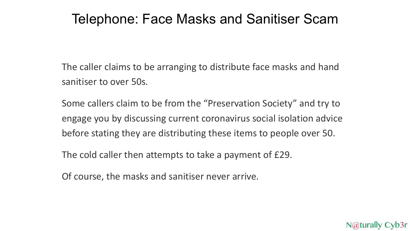#### Telephone: Face Masks and Sanitiser Scam

The caller claims to be arranging to distribute face masks and hand sanitiser to over 50s.

Some callers claim to be from the "Preservation Society" and try to engage you by discussing current coronavirus social isolation advice before stating they are distributing these items to people over 50.

N@turally Cyb3r

The cold caller then attempts to take a payment of £29.

Of course, the masks and sanitiser never arrive.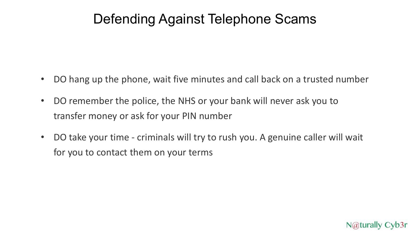### Defending Against Telephone Scams

- DO hang up the phone, wait five minutes and call back on a trusted number
- DO remember the police, the NHS or your bank will never ask you to transfer money or ask for your PIN number
- DO take your time criminals will try to rush you. A genuine caller will wait for you to contact them on your terms

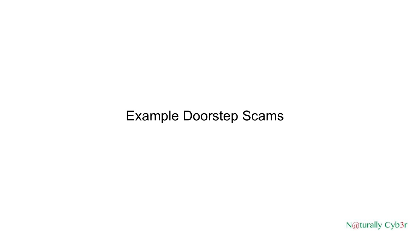#### Example Doorstep Scams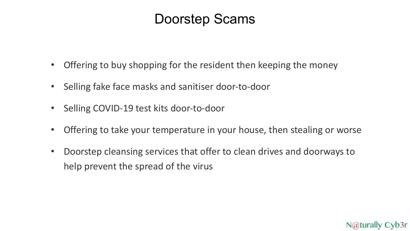#### Doorstep Scams

- Offering to buy shopping for the resident then keeping the money
- Selling fake face masks and sanitiser door-to-door
- Selling COVID-19 test kits door-to-door
- Offering to take your temperature in your house, then stealing or worse
- Doorstep cleansing services that offer to clean drives and doorways to help prevent the spread of the virus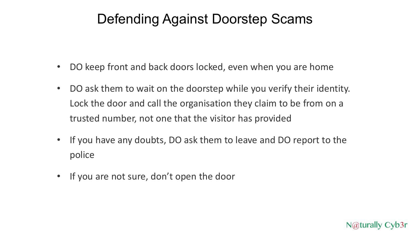### Defending Against Doorstep Scams

- DO keep front and back doors locked, even when you are home
- DO ask them to wait on the doorstep while you verify their identity. Lock the door and call the organisation they claim to be from on a trusted number, not one that the visitor has provided
- If you have any doubts, DO ask them to leave and DO report to the police

N@turally Cyb3r

• If you are not sure, don't open the door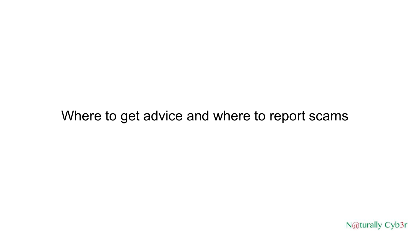#### Where to get advice and where to report scams

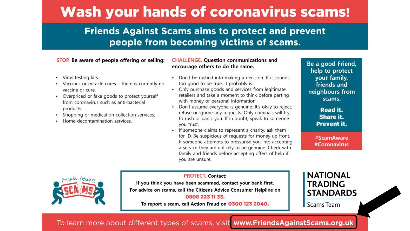## **Wash your hands of coronavirus scams!**

#### **Friends Against Scams aims to protect and prevent** people from becoming victims of scams.

#### STOP. Be aware of people offering or selling:

- Virus testing kits
- Vaccines or miracle cures there is currently no vaccine or cure.
- Overpriced or fake goods to protect yourself from coronavirus such as anti-bacterial products.
- Shopping or medication collection services.
- Home decontamination services.

#### **CHALLENGE. Question communications and** encourage others to do the same.

- Don't be rushed into making a decision. If it sounds too good to be true, it probably is.
- Only purchase goods and services from legitimate retailers and take a moment to think before parting with money or personal information.
- Don't assume everyone is genuine. It's okay to reject, refuse or ignore any requests. Only criminals will try to rush or panic you. If in doubt, speak to someone you trust.
- If someone claims to represent a charity, ask them for ID. Be suspicious of requests for money up front. If someone attempts to pressurise you into accepting a service they are unlikely to be genuine. Check with family and friends before accepting offers of help if you are unsure.

Be a good Friend, help to protect your family, friends and neighbours from scams.

> **Read it.** Share it. **Prevent it.**

#ScamAware #Coronavirus



If you think you have been scammed, contact your bank first. For advice on scams, call the Citizens Advice Consumer Helpline on 0808 223 11 33.

**PROTECT, Contact:** 

To report a scam, call Action Fraud on 0300 123 2040.

#### **NATIONAL TRADING STANDARDS**

**Scams Team** 

#### To learn more about different types of scams, visit www.FriendsAgainstScams.org.uk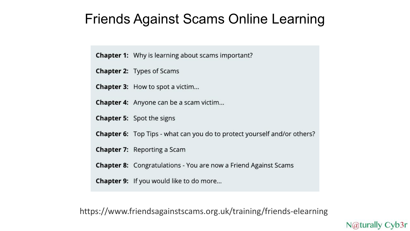#### **Friends Against Scams Online Learning**

**Chapter 1:** Why is learning about scams important?

- **Chapter 2: Types of Scams**
- **Chapter 3:** How to spot a victim...
- Chapter 4: Anyone can be a scam victim...

**Chapter 5:** Spot the signs

**Chapter 6:** Top Tips - what can you do to protect yourself and/or others?

**Chapter 7:** Reporting a Scam

**Chapter 8:** Congratulations - You are now a Friend Against Scams

**Chapter 9:** If you would like to do more...

https://www.friendsagainstscams.org.uk/training/friends-elearning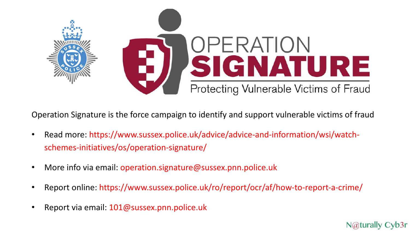

Operation Signature is the force campaign to identify and support vulnerable victims of fraud

- Read more: https://www.sussex.police.uk/advice/advice-and-information/wsi/watchschemes-initiatives/os/operation-signature/
- More info via email: operation.signature@sussex.pnn.police.uk
- Report online: https://www.sussex.police.uk/ro/report/ocr/af/how-to-report-a-crime/

N@turally Cyb3r

• Report via email: 101@sussex.pnn.police.uk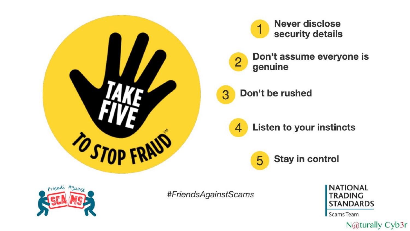





Don't assume everyone is genuine



4

Don't be rushed

**Listen to your instincts** 

Stay in control 5



#FriendsAgainstScams



Scams Team

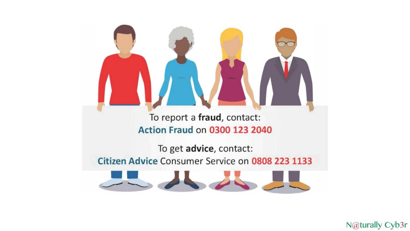